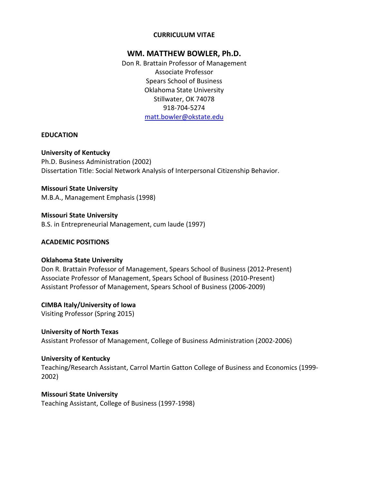## **CURRICULUM VITAE**

## **WM. MATTHEW BOWLER, Ph.D.**

Don R. Brattain Professor of Management Associate Professor Spears School of Business Oklahoma State University Stillwater, OK 74078 918-704-5274 [matt.bowler@okstate.edu](mailto:matt.bowler@okstate.edu)

## **EDUCATION**

## **University of Kentucky**

Ph.D. Business Administration (2002) Dissertation Title: Social Network Analysis of Interpersonal Citizenship Behavior.

**Missouri State University**  M.B.A., Management Emphasis (1998)

**Missouri State University**  B.S. in Entrepreneurial Management, cum laude (1997)

## **ACADEMIC POSITIONS**

## **Oklahoma State University**

Don R. Brattain Professor of Management, Spears School of Business (2012-Present) Associate Professor of Management, Spears School of Business (2010-Present) Assistant Professor of Management, Spears School of Business (2006-2009)

**CIMBA Italy/University of Iowa** Visiting Professor (Spring 2015)

**University of North Texas**  Assistant Professor of Management, College of Business Administration (2002-2006)

**University of Kentucky**

Teaching/Research Assistant, Carrol Martin Gatton College of Business and Economics (1999- 2002)

**Missouri State University** Teaching Assistant, College of Business (1997-1998)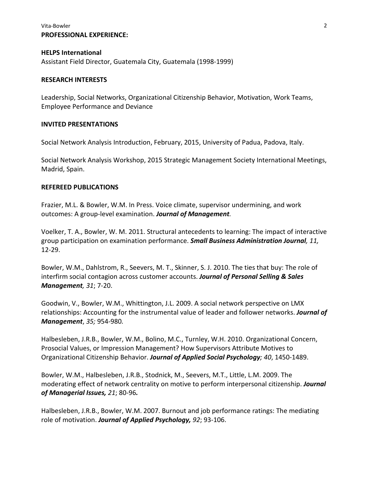## Vita-Bowler 2 **PROFESSIONAL EXPERIENCE:**

# **HELPS International**

Assistant Field Director, Guatemala City, Guatemala (1998-1999)

## **RESEARCH INTERESTS**

Leadership, Social Networks, Organizational Citizenship Behavior, Motivation, Work Teams, Employee Performance and Deviance

## **INVITED PRESENTATIONS**

Social Network Analysis Introduction, February, 2015, University of Padua, Padova, Italy.

Social Network Analysis Workshop, 2015 Strategic Management Society International Meetings, Madrid, Spain.

## **REFEREED PUBLICATIONS**

Frazier, M.L. & Bowler, W.M. In Press. Voice climate, supervisor undermining, and work outcomes: A group-level examination. *Journal of Management.*

Voelker, T. A., Bowler, W. M. 2011. Structural antecedents to learning: The impact of interactive group participation on examination performance. *Small Business Administration Journal, 11,* 12-29.

Bowler, W.M., Dahlstrom, R., Seevers, M. T., Skinner, S. J. 2010. The ties that buy: The role of interfirm social contagion across customer accounts. *Journal of Personal Selling & Sales Management, 31*; 7-20.

Goodwin, V., Bowler, W.M., Whittington, J.L. 2009. A social network perspective on LMX relationships: Accounting for the instrumental value of leader and follower networks. *Journal of Management*, *35;* 954-980*.*

Halbesleben, J.R.B., Bowler, W.M., Bolino, M.C., Turnley, W.H. 2010. Organizational Concern, Prosocial Values, or Impression Management? How Supervisors Attribute Motives to Organizational Citizenship Behavior. *Journal of Applied Social Psychology; 40*, 1450-1489.

Bowler, W.M., Halbesleben, J.R.B., Stodnick, M., Seevers, M.T., Little, L.M. 2009. The moderating effect of network centrality on motive to perform interpersonal citizenship. *Journal of Managerial Issues, 21*; 80-96*.*

Halbesleben, J.R.B., Bowler, W.M. 2007. Burnout and job performance ratings: The mediating role of motivation. *Journal of Applied Psychology, 92*; 93-106.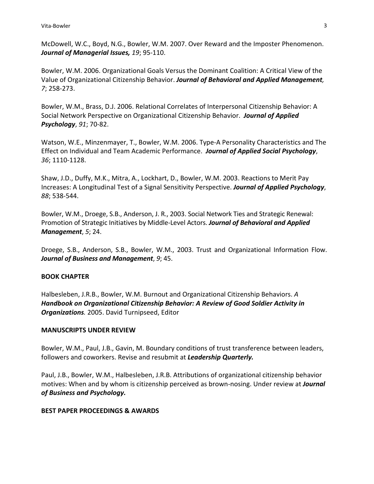McDowell, W.C., Boyd, N.G., Bowler, W.M. 2007. Over Reward and the Imposter Phenomenon. *Journal of Managerial Issues, 19*; 95-110.

Bowler, W.M. 2006. Organizational Goals Versus the Dominant Coalition: A Critical View of the Value of Organizational Citizenship Behavior. *Journal of Behavioral and Applied Management, 7*; 258-273.

Bowler, W.M., Brass, D.J. 2006. Relational Correlates of Interpersonal Citizenship Behavior: A Social Network Perspective on Organizational Citizenship Behavior. *Journal of Applied Psychology*, *91*; 70-82.

Watson, W.E., Minzenmayer, T., Bowler, W.M. 2006. Type-A Personality Characteristics and The Effect on Individual and Team Academic Performance. *Journal of Applied Social Psychology*, *36*; 1110-1128.

Shaw, J.D., Duffy, M.K., Mitra, A., Lockhart, D., Bowler, W.M. 2003. Reactions to Merit Pay Increases: A Longitudinal Test of a Signal Sensitivity Perspective. *Journal of Applied Psychology*, *88*; 538-544.

Bowler, W.M., Droege, S.B., Anderson, J. R., 2003. Social Network Ties and Strategic Renewal: Promotion of Strategic Initiatives by Middle-Level Actors. *Journal of Behavioral and Applied Management*, *5*; 24.

Droege, S.B., Anderson, S.B., Bowler, W.M., 2003. Trust and Organizational Information Flow. *Journal of Business and Management*, *9*; 45.

## **BOOK CHAPTER**

Halbesleben, J.R.B., Bowler, W.M. Burnout and Organizational Citizenship Behaviors. *A Handbook on Organizational Citizenship Behavior: A Review of Good Soldier Activity in Organizations.* 2005. David Turnipseed, Editor

## **MANUSCRIPTS UNDER REVIEW**

Bowler, W.M., Paul, J.B., Gavin, M. Boundary conditions of trust transference between leaders, followers and coworkers. Revise and resubmit at *Leadership Quarterly.*

Paul, J.B., Bowler, W.M., Halbesleben, J.R.B. Attributions of organizational citizenship behavior motives: When and by whom is citizenship perceived as brown-nosing. Under review at *Journal of Business and Psychology.*

## **BEST PAPER PROCEEDINGS & AWARDS**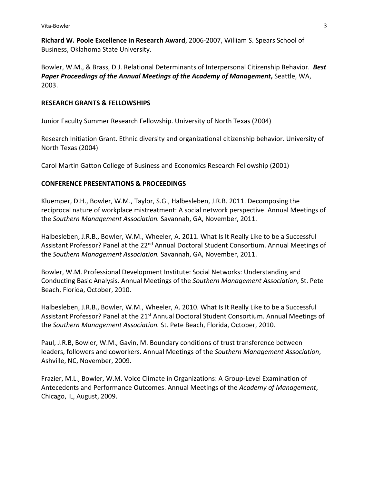**Richard W. Poole Excellence in Research Award**, 2006-2007, William S. Spears School of Business, Oklahoma State University.

Bowler, W.M., & Brass, D.J. Relational Determinants of Interpersonal Citizenship Behavior. *Best Paper Proceedings of the Annual Meetings of the Academy of Management***,** Seattle, WA, 2003.

## **RESEARCH GRANTS & FELLOWSHIPS**

Junior Faculty Summer Research Fellowship. University of North Texas (2004)

Research Initiation Grant. Ethnic diversity and organizational citizenship behavior. University of North Texas (2004)

Carol Martin Gatton College of Business and Economics Research Fellowship (2001)

## **CONFERENCE PRESENTATIONS & PROCEEDINGS**

Kluemper, D.H., Bowler, W.M., Taylor, S.G., Halbesleben, J.R.B. 2011. Decomposing the reciprocal nature of workplace mistreatment: A social network perspective. Annual Meetings of the *Southern Management Association.* Savannah, GA, November, 2011.

Halbesleben, J.R.B., Bowler, W.M., Wheeler, A. 2011. What Is It Really Like to be a Successful Assistant Professor? Panel at the 22<sup>nd</sup> Annual Doctoral Student Consortium. Annual Meetings of the *Southern Management Association.* Savannah, GA, November, 2011.

Bowler, W.M. Professional Development Institute: Social Networks: Understanding and Conducting Basic Analysis. Annual Meetings of the *Southern Management Association*, St. Pete Beach, Florida, October, 2010.

Halbesleben, J.R.B., Bowler, W.M., Wheeler, A. 2010. What Is It Really Like to be a Successful Assistant Professor? Panel at the 21<sup>st</sup> Annual Doctoral Student Consortium. Annual Meetings of the *Southern Management Association.* St. Pete Beach, Florida, October, 2010.

Paul, J.R.B, Bowler, W.M., Gavin, M. Boundary conditions of trust transference between leaders, followers and coworkers. Annual Meetings of the *Southern Management Association*, Ashville, NC, November, 2009.

Frazier, M.L., Bowler, W.M. Voice Climate in Organizations: A Group-Level Examination of Antecedents and Performance Outcomes. Annual Meetings of the *Academy of Management*, Chicago, IL, August, 2009.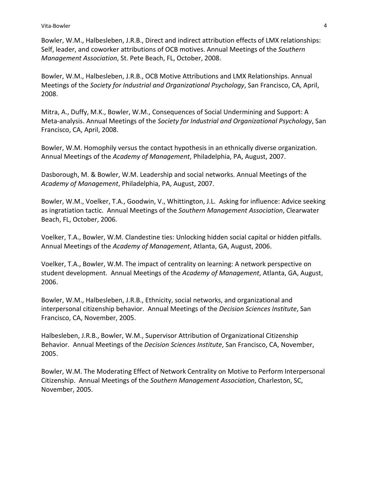Bowler, W.M., Halbesleben, J.R.B., Direct and indirect attribution effects of LMX relationships: Self, leader, and coworker attributions of OCB motives. Annual Meetings of the *Southern Management Association*, St. Pete Beach, FL, October, 2008.

Bowler, W.M., Halbesleben, J.R.B., OCB Motive Attributions and LMX Relationships. Annual Meetings of the *Society for Industrial and Organizational Psychology*, San Francisco, CA, April, 2008.

Mitra, A., Duffy, M.K., Bowler, W.M., Consequences of Social Undermining and Support: A Meta-analysis. Annual Meetings of the *Society for Industrial and Organizational Psychology*, San Francisco, CA, April, 2008.

Bowler, W.M. Homophily versus the contact hypothesis in an ethnically diverse organization. Annual Meetings of the *Academy of Management*, Philadelphia, PA, August, 2007.

Dasborough, M. & Bowler, W.M. Leadership and social networks. Annual Meetings of the *Academy of Management*, Philadelphia, PA, August, 2007.

Bowler, W.M., Voelker, T.A., Goodwin, V., Whittington, J.L. Asking for influence: Advice seeking as ingratiation tactic. Annual Meetings of the *Southern Management Association*, Clearwater Beach, FL, October, 2006.

Voelker, T.A., Bowler, W.M. Clandestine ties: Unlocking hidden social capital or hidden pitfalls. Annual Meetings of the *Academy of Management*, Atlanta, GA, August, 2006.

Voelker, T.A., Bowler, W.M. The impact of centrality on learning: A network perspective on student development. Annual Meetings of the *Academy of Management*, Atlanta, GA, August, 2006.

Bowler, W.M., Halbesleben, J.R.B., Ethnicity, social networks, and organizational and interpersonal citizenship behavior. Annual Meetings of the *Decision Sciences Institute*, San Francisco, CA, November, 2005.

Halbesleben, J.R.B., Bowler, W.M., Supervisor Attribution of Organizational Citizenship Behavior. Annual Meetings of the *Decision Sciences Institute*, San Francisco, CA, November, 2005.

Bowler, W.M. The Moderating Effect of Network Centrality on Motive to Perform Interpersonal Citizenship. Annual Meetings of the *Southern Management Association*, Charleston, SC, November, 2005.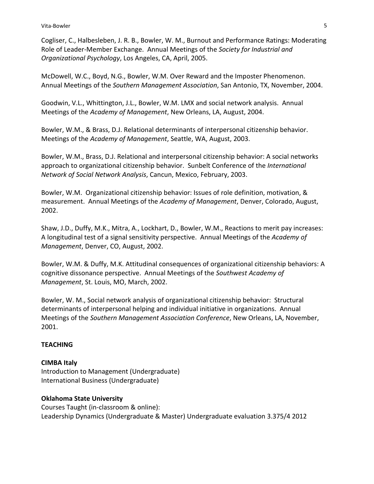Cogliser, C., Halbesleben, J. R. B., Bowler, W. M., Burnout and Performance Ratings: Moderating Role of Leader-Member Exchange. Annual Meetings of the *Society for Industrial and Organizational Psychology*, Los Angeles, CA, April, 2005.

McDowell, W.C., Boyd, N.G., Bowler, W.M. Over Reward and the Imposter Phenomenon. Annual Meetings of the *Southern Management Association*, San Antonio, TX, November, 2004.

Goodwin, V.L., Whittington, J.L., Bowler, W.M. LMX and social network analysis. Annual Meetings of the *Academy of Management*, New Orleans, LA, August, 2004.

Bowler, W.M., & Brass, D.J. Relational determinants of interpersonal citizenship behavior. Meetings of the *Academy of Management*, Seattle, WA, August, 2003.

Bowler, W.M., Brass, D.J. Relational and interpersonal citizenship behavior: A social networks approach to organizational citizenship behavior. Sunbelt Conference of the *International Network of Social Network Analysis*, Cancun, Mexico, February, 2003.

Bowler, W.M. Organizational citizenship behavior: Issues of role definition, motivation, & measurement. Annual Meetings of the *Academy of Management*, Denver, Colorado, August, 2002.

Shaw, J.D., Duffy, M.K., Mitra, A., Lockhart, D., Bowler, W.M., Reactions to merit pay increases: A longitudinal test of a signal sensitivity perspective. Annual Meetings of the *Academy of Management*, Denver, CO, August, 2002.

Bowler, W.M. & Duffy, M.K. Attitudinal consequences of organizational citizenship behaviors: A cognitive dissonance perspective. Annual Meetings of the *Southwest Academy of Management*, St. Louis, MO, March, 2002.

Bowler, W. M., Social network analysis of organizational citizenship behavior: Structural determinants of interpersonal helping and individual initiative in organizations. Annual Meetings of the *Southern Management Association Conference*, New Orleans, LA, November, 2001.

# **TEACHING**

## **CIMBA Italy**

Introduction to Management (Undergraduate) International Business (Undergraduate)

## **Oklahoma State University**

Courses Taught (in-classroom & online): Leadership Dynamics (Undergraduate & Master) Undergraduate evaluation 3.375/4 2012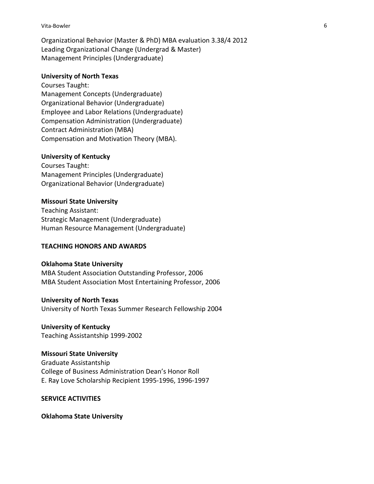#### Vita-Bowler 6

Organizational Behavior (Master & PhD) MBA evaluation 3.38/4 2012 Leading Organizational Change (Undergrad & Master) Management Principles (Undergraduate)

### **University of North Texas**

Courses Taught: Management Concepts (Undergraduate) Organizational Behavior (Undergraduate) Employee and Labor Relations (Undergraduate) Compensation Administration (Undergraduate) Contract Administration (MBA) Compensation and Motivation Theory (MBA).

#### **University of Kentucky**

Courses Taught: Management Principles (Undergraduate) Organizational Behavior (Undergraduate)

#### **Missouri State University**

Teaching Assistant: Strategic Management (Undergraduate) Human Resource Management (Undergraduate)

## **TEACHING HONORS AND AWARDS**

### **Oklahoma State University**

MBA Student Association Outstanding Professor, 2006 MBA Student Association Most Entertaining Professor, 2006

#### **University of North Texas**

University of North Texas Summer Research Fellowship 2004

**University of Kentucky** Teaching Assistantship 1999-2002

### **Missouri State University**

Graduate Assistantship College of Business Administration Dean's Honor Roll E. Ray Love Scholarship Recipient 1995-1996, 1996-1997

**SERVICE ACTIVITIES**

#### **Oklahoma State University**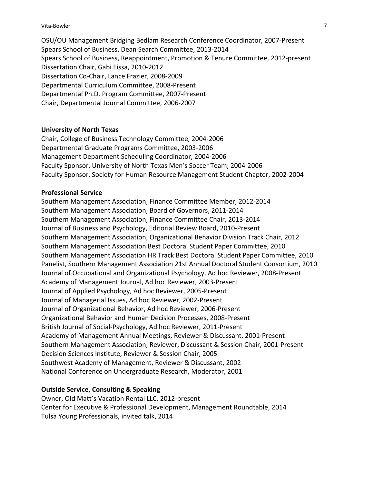#### Vita-Bowler 7

OSU/OU Management Bridging Bedlam Research Conference Coordinator, 2007-Present Spears School of Business, Dean Search Committee, 2013-2014 Spears School of Business, Reappointment, Promotion & Tenure Committee, 2012-present Dissertation Chair, Gabi Eissa, 2010-2012 Dissertation Co-Chair, Lance Frazier, 2008-2009 Departmental Curriculum Committee, 2008-Present Departmental Ph.D. Program Committee, 2007-Present Chair, Departmental Journal Committee, 2006-2007

### **University of North Texas**

Chair, College of Business Technology Committee, 2004-2006 Departmental Graduate Programs Committee, 2003-2006 Management Department Scheduling Coordinator, 2004-2006 Faculty Sponsor, University of North Texas Men's Soccer Team, 2004-2006 Faculty Sponsor, Society for Human Resource Management Student Chapter, 2002-2004

### **Professional Service**

Southern Management Association, Finance Committee Member, 2012-2014 Southern Management Association, Board of Governors, 2011-2014 Southern Management Association, Finance Committee Chair, 2013-2014 Journal of Business and Psychology, Editorial Review Board, 2010-Present Southern Management Association, Organizational Behavior Division Track Chair, 2012 Southern Management Association Best Doctoral Student Paper Committee, 2010 Southern Management Association HR Track Best Doctoral Student Paper Committee, 2010 Panelist, Southern Management Association 21st Annual Doctoral Student Consortium, 2010 Journal of Occupational and Organizational Psychology, Ad hoc Reviewer, 2008-Present Academy of Management Journal, Ad hoc Reviewer, 2003-Present Journal of Applied Psychology, Ad hoc Reviewer, 2005-Present Journal of Managerial Issues, Ad hoc Reviewer, 2002-Present Journal of Organizational Behavior, Ad hoc Reviewer, 2006-Present Organizational Behavior and Human Decision Processes, 2008-Present British Journal of Social-Psychology, Ad hoc Reviewer, 2011-Present Academy of Management Annual Meetings, Reviewer & Discussant, 2001-Present Southern Management Association, Reviewer, Discussant & Session Chair, 2001-Present Decision Sciences Institute, Reviewer & Session Chair, 2005 Southwest Academy of Management, Reviewer & Discussant, 2002 National Conference on Undergraduate Research, Moderator, 2001

## **Outside Service, Consulting & Speaking**

Owner, Old Matt's Vacation Rental LLC, 2012-present Center for Executive & Professional Development, Management Roundtable, 2014 Tulsa Young Professionals, invited talk, 2014